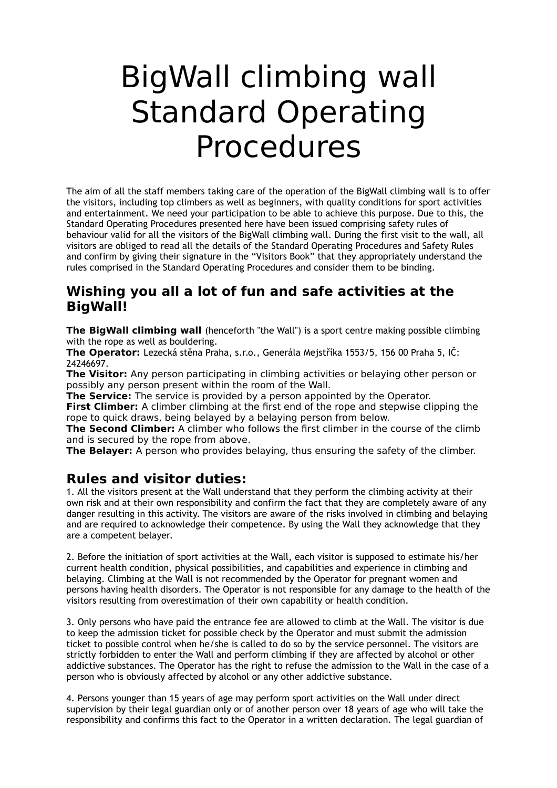## BigWall climbing wall Standard Operating Procedures

The aim of all the staff members taking care of the operation of the BigWall climbing wall is to offer the visitors, including top climbers as well as beginners, with quality conditions for sport activities and entertainment. We need your participation to be able to achieve this purpose. Due to this, the Standard Operating Procedures presented here have been issued comprising safety rules of behaviour valid for all the visitors of the BigWall climbing wall. During the first visit to the wall, all visitors are obliged to read all the details of the Standard Operating Procedures and Safety Rules and confirm by giving their signature in the "Visitors Book" that they appropriately understand the rules comprised in the Standard Operating Procedures and consider them to be binding.

## **Wishing you all a lot of fun and safe activities at the BigWall!**

**The BigWall climbing wall** (henceforth "the Wall") is a sport centre making possible climbing with the rope as well as bouldering.

**The Operator:** Lezecká stěna Praha, s.r.o., Generála Mejstříka 1553/5, 156 00 Praha 5, IČ: 24246697.

**The Visitor:** Any person participating in climbing activities or belaying other person or possibly any person present within the room of the Wall.

**The Service:** The service is provided by a person appointed by the Operator.

**First Climber:** A climber climbing at the first end of the rope and stepwise clipping the rope to quick draws, being belayed by a belaying person from below.

**The Second Climber:** A climber who follows the first climber in the course of the climb and is secured by the rope from above.

**The Belayer:** A person who provides belaying, thus ensuring the safety of the climber.

## **Rules and visitor duties:**

1. All the visitors present at the Wall understand that they perform the climbing activity at their own risk and at their own responsibility and confirm the fact that they are completely aware of any danger resulting in this activity. The visitors are aware of the risks involved in climbing and belaying and are required to acknowledge their competence. By using the Wall they acknowledge that they are a competent belayer.

2. Before the initiation of sport activities at the Wall, each visitor is supposed to estimate his/her current health condition, physical possibilities, and capabilities and experience in climbing and belaying. Climbing at the Wall is not recommended by the Operator for pregnant women and persons having health disorders. The Operator is not responsible for any damage to the health of the visitors resulting from overestimation of their own capability or health condition.

3. Only persons who have paid the entrance fee are allowed to climb at the Wall. The visitor is due to keep the admission ticket for possible check by the Operator and must submit the admission ticket to possible control when he/she is called to do so by the service personnel. The visitors are strictly forbidden to enter the Wall and perform climbing if they are affected by alcohol or other addictive substances. The Operator has the right to refuse the admission to the Wall in the case of a person who is obviously affected by alcohol or any other addictive substance.

4. Persons younger than 15 years of age may perform sport activities on the Wall under direct supervision by their legal guardian only or of another person over 18 years of age who will take the responsibility and confirms this fact to the Operator in a written declaration. The legal guardian of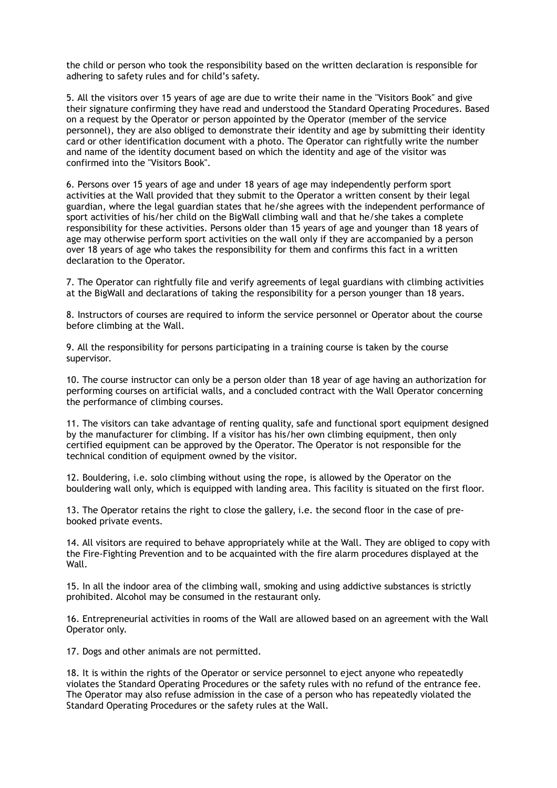the child or person who took the responsibility based on the written declaration is responsible for adhering to safety rules and for child's safety.

5. All the visitors over 15 years of age are due to write their name in the "Visitors Book" and give their signature confirming they have read and understood the Standard Operating Procedures. Based on a request by the Operator or person appointed by the Operator (member of the service personnel), they are also obliged to demonstrate their identity and age by submitting their identity card or other identification document with a photo. The Operator can rightfully write the number and name of the identity document based on which the identity and age of the visitor was confirmed into the "Visitors Book".

6. Persons over 15 years of age and under 18 years of age may independently perform sport activities at the Wall provided that they submit to the Operator a written consent by their legal guardian, where the legal guardian states that he/she agrees with the independent performance of sport activities of his/her child on the BigWall climbing wall and that he/she takes a complete responsibility for these activities. Persons older than 15 years of age and younger than 18 years of age may otherwise perform sport activities on the wall only if they are accompanied by a person over 18 years of age who takes the responsibility for them and confirms this fact in a written declaration to the Operator.

7. The Operator can rightfully file and verify agreements of legal guardians with climbing activities at the BigWall and declarations of taking the responsibility for a person younger than 18 years.

8. Instructors of courses are required to inform the service personnel or Operator about the course before climbing at the Wall.

9. All the responsibility for persons participating in a training course is taken by the course supervisor.

10. The course instructor can only be a person older than 18 year of age having an authorization for performing courses on artificial walls, and a concluded contract with the Wall Operator concerning the performance of climbing courses.

11. The visitors can take advantage of renting quality, safe and functional sport equipment designed by the manufacturer for climbing. If a visitor has his/her own climbing equipment, then only certified equipment can be approved by the Operator. The Operator is not responsible for the technical condition of equipment owned by the visitor.

12. Bouldering, i.e. solo climbing without using the rope, is allowed by the Operator on the bouldering wall only, which is equipped with landing area. This facility is situated on the first floor.

13. The Operator retains the right to close the gallery, i.e. the second floor in the case of prebooked private events.

14. All visitors are required to behave appropriately while at the Wall. They are obliged to copy with the Fire-Fighting Prevention and to be acquainted with the fire alarm procedures displayed at the Wall.

15. In all the indoor area of the climbing wall, smoking and using addictive substances is strictly prohibited. Alcohol may be consumed in the restaurant only.

16. Entrepreneurial activities in rooms of the Wall are allowed based on an agreement with the Wall Operator only.

17. Dogs and other animals are not permitted.

18. It is within the rights of the Operator or service personnel to eject anyone who repeatedly violates the Standard Operating Procedures or the safety rules with no refund of the entrance fee. The Operator may also refuse admission in the case of a person who has repeatedly violated the Standard Operating Procedures or the safety rules at the Wall.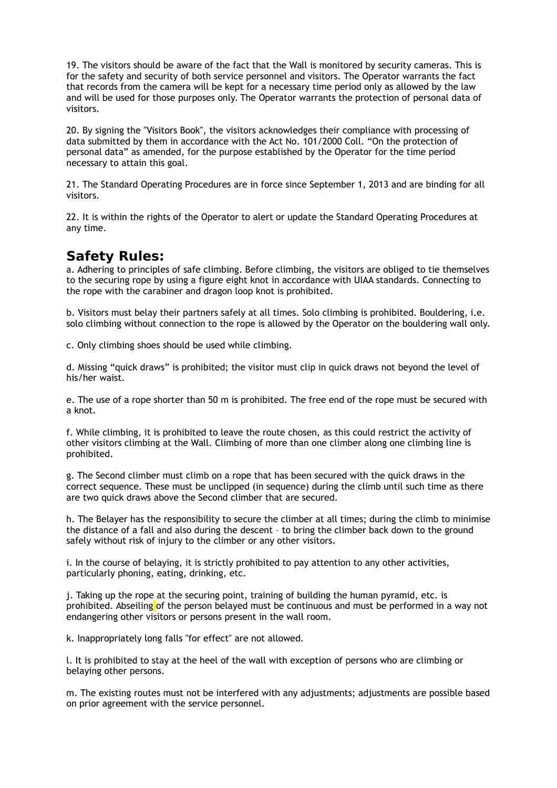19. The visitors should be aware of the fact that the Wall is monitored by security cameras. This is for the safety and security of both service personnel and visitors. The Operator warrants the fact that records from the camera will be kept for a necessary time period only as allowed by the law and will be used for those purposes only. The Operator warrants the protection of personal data of visitors.

20. By signing the "Visitors Book", the visitors acknowledges their compliance with processing of data submitted by them in accordance with the Act No. 101/2000 Coll. "On the protection of personal data" as amended, for the purpose established by the Operator for the time period necessary to attain this goal.

21. The Standard Operating Procedures are in force since September 1, 2013 and are binding for all visitors.

22. It is within the rights of the Operator to alert or update the Standard Operating Procedures at any time.

## **Safety Rules:**

a. Adhering to principles of safe climbing. Before climbing, the visitors are obliged to tie themselves to the securing rope by using a figure eight knot in accordance with UIAA standards. Connecting to the rope with the carabiner and dragon loop knot is prohibited.

b. Visitors must belay their partners safely at all times. Solo climbing is prohibited. Bouldering, i.e. solo climbing without connection to the rope is allowed by the Operator on the bouldering wall only.

c. Only climbing shoes should be used while climbing.

d. Missing "quick draws" is prohibited; the visitor must clip in quick draws not beyond the level of his/her waist.

e. The use of a rope shorter than 50 m is prohibited. The free end of the rope must be secured with a knot.

f. While climbing, it is prohibited to leave the route chosen, as this could restrict the activity of other visitors climbing at the Wall. Climbing of more than one climber along one climbing line is prohibited.

g. The Second climber must climb on a rope that has been secured with the quick draws in the correct sequence. These must be unclipped (in sequence) during the climb until such time as there are two quick draws above the Second climber that are secured.

h. The Belayer has the responsibility to secure the climber at all times; during the climb to minimise the distance of a fall and also during the descent – to bring the climber back down to the ground safely without risk of injury to the climber or any other visitors.

i. In the course of belaying, it is strictly prohibited to pay attention to any other activities, particularly phoning, eating, drinking, etc.

j. Taking up the rope at the securing point, training of building the human pyramid, etc. is prohibited. Abseiling of the person belayed must be continuous and must be performed in a way not endangering other visitors or persons present in the wall room.

k. Inappropriately long falls "for effect" are not allowed.

l. It is prohibited to stay at the heel of the wall with exception of persons who are climbing or belaying other persons.

m. The existing routes must not be interfered with any adjustments; adjustments are possible based on prior agreement with the service personnel.